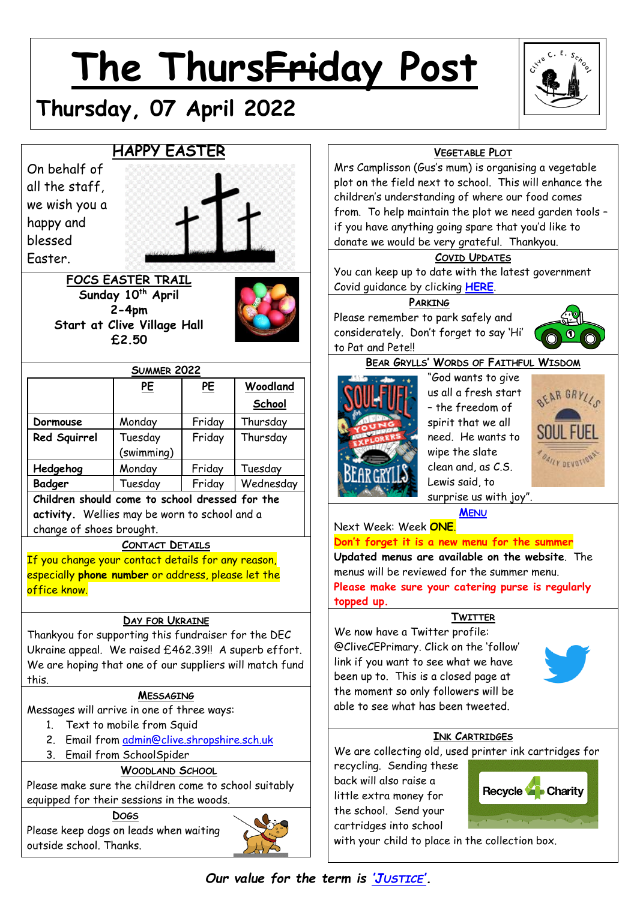# **The ThursFriday Post**



## **HAPPY EASTER**

**Thursday, 07 April 2022**

On behalf of all the staff, we wish you a happy and blessed Easter.



**FOCS EASTER TRAIL Sunday 10th April 2-4pm Start at Clive Village Hall £2.50**



| <b>SUMMER 2022</b> |                       |           |           |  |
|--------------------|-----------------------|-----------|-----------|--|
|                    | <u>PE</u>             | <u>PE</u> | Woodland  |  |
|                    |                       |           | School    |  |
| Dormouse           | Monday                | Friday    | Thursday  |  |
| Red Squirrel       | Tuesday<br>(swimming) | Friday    | Thursday  |  |
| Hedgehog           | Monday                | Friday    | Tuesday   |  |
| Badger             | Tuesday               | Friday    | Wednesday |  |
|                    |                       |           |           |  |

**Children should come to school dressed for the activity.** Wellies may be worn to school and a change of shoes brought.

## **CONTACT DETAILS**

If you change your contact details for any reason, especially **phone number** or address, please let the office know.

## **DAY FOR UKRAINE**

Thankyou for supporting this fundraiser for the DEC Ukraine appeal. We raised £462.39!! A superb effort. We are hoping that one of our suppliers will match fund this.

## **MESSAGING**

Messages will arrive in one of three ways:

- 1. Text to mobile from Squid
- 2. Email from [admin@clive.shropshire.sch.uk](mailto:admin@clive.shropshire.sch.uk)
- 3. Email from SchoolSpider

## **WOODLAND SCHOOL**

Please make sure the children come to school suitably equipped for their sessions in the woods.

**DOGS** Please keep dogs on leads when waiting outside school. Thanks.



## **VEGETABLE PLOT**

Mrs Camplisson (Gus's mum) is organising a vegetable plot on the field next to school. This will enhance the children's understanding of where our food comes from. To help maintain the plot we need garden tools – if you have anything going spare that you'd like to donate we would be very grateful. Thankyou.

## **COVID UPDATES**

You can keep up to date with the latest government Covid guidance by clicking **[HERE](https://www.gov.uk/government/publications/what-parents-and-carers-need-to-know-about-early-years-providers-schools-and-colleges-during-the-coronavirus-covid-19-outbreak?utm_source=14%20December%202021%20C19&utm_medium=Daily%20Email%20C19&utm_campaign=DfE%20C19)**.

### **PARKING**

Please remember to park safely and considerately. Don't forget to say 'Hi' to Pat and Pete!!



## **BEAR GRYLLS' WORDS OF FAITHFUL WISDOM**



"God wants to give us all a fresh start – the freedom of spirit that we all need. He wants to wipe the slate clean and, as C.S. Lewis said, to surprise us with joy".



**M[ENU](http://www.clivecofeprimaryschool.co.uk/page/school-meals/26275)**

Next Week: Week **ONE**. **Don't forget it is a new menu for the summer Updated menus are available on the website**. The menus will be reviewed for the summer menu. **Please make sure your catering purse is regularly topped up.**

## **TWITTER**

We now have a Twitter profile: @CliveCEPrimary. Click on the 'follow' link if you want to see what we have been up to. This is a closed page at the moment so only followers will be able to see what has been tweeted.



## **INK CARTRIDGES**

We are collecting old, used printer ink cartridges for

recycling. Sending these back will also raise a little extra money for the school. Send your cartridges into school



with your child to place in the collection box.

*Our value for the term is 'J[USTICE](http://www.clivecofeprimaryschool.co.uk/serve_file/5298783)'.*